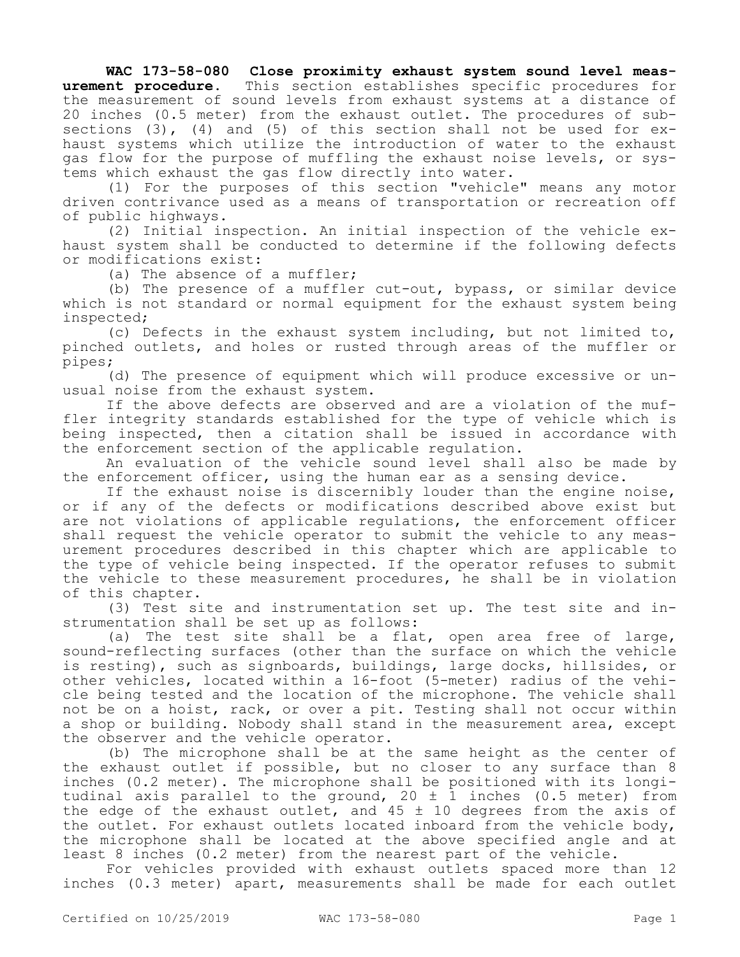## **WAC 173-58-080 Close proximity exhaust system sound level measurement procedure.** This section establishes specific procedures for the measurement of sound levels from exhaust systems at a distance of 20 inches (0.5 meter) from the exhaust outlet. The procedures of subsections  $(3)$ ,  $(4)$  and  $(5)$  of this section shall not be used for exhaust systems which utilize the introduction of water to the exhaust gas flow for the purpose of muffling the exhaust noise levels, or systems which exhaust the gas flow directly into water.

(1) For the purposes of this section "vehicle" means any motor driven contrivance used as a means of transportation or recreation off of public highways.

(2) Initial inspection. An initial inspection of the vehicle exhaust system shall be conducted to determine if the following defects or modifications exist:

(a) The absence of a muffler;

(b) The presence of a muffler cut-out, bypass, or similar device which is not standard or normal equipment for the exhaust system being inspected;

(c) Defects in the exhaust system including, but not limited to, pinched outlets, and holes or rusted through areas of the muffler or pipes;

(d) The presence of equipment which will produce excessive or unusual noise from the exhaust system.

If the above defects are observed and are a violation of the muffler integrity standards established for the type of vehicle which is being inspected, then a citation shall be issued in accordance with the enforcement section of the applicable regulation.

An evaluation of the vehicle sound level shall also be made by the enforcement officer, using the human ear as a sensing device.

If the exhaust noise is discernibly louder than the engine noise, or if any of the defects or modifications described above exist but are not violations of applicable regulations, the enforcement officer shall request the vehicle operator to submit the vehicle to any measurement procedures described in this chapter which are applicable to the type of vehicle being inspected. If the operator refuses to submit the vehicle to these measurement procedures, he shall be in violation of this chapter.

(3) Test site and instrumentation set up. The test site and instrumentation shall be set up as follows:

(a) The test site shall be a flat, open area free of large, sound-reflecting surfaces (other than the surface on which the vehicle is resting), such as signboards, buildings, large docks, hillsides, or other vehicles, located within a 16-foot (5-meter) radius of the vehicle being tested and the location of the microphone. The vehicle shall not be on a hoist, rack, or over a pit. Testing shall not occur within a shop or building. Nobody shall stand in the measurement area, except the observer and the vehicle operator.

(b) The microphone shall be at the same height as the center of the exhaust outlet if possible, but no closer to any surface than 8 inches (0.2 meter). The microphone shall be positioned with its longitudinal axis parallel to the ground, 20 ± 1 inches (0.5 meter) from the edge of the exhaust outlet, and  $45 \pm 10$  degrees from the axis of the outlet. For exhaust outlets located inboard from the vehicle body, the microphone shall be located at the above specified angle and at least 8 inches (0.2 meter) from the nearest part of the vehicle.

For vehicles provided with exhaust outlets spaced more than 12 inches (0.3 meter) apart, measurements shall be made for each outlet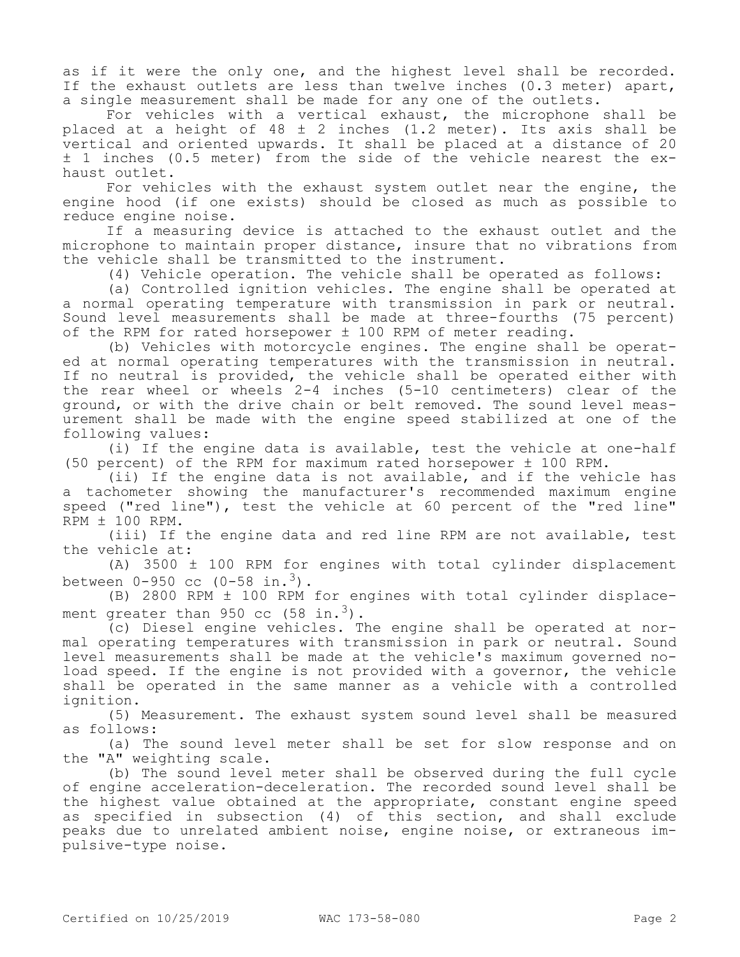as if it were the only one, and the highest level shall be recorded. If the exhaust outlets are less than twelve inches (0.3 meter) apart, a single measurement shall be made for any one of the outlets.

For vehicles with a vertical exhaust, the microphone shall be placed at a height of 48 ± 2 inches (1.2 meter). Its axis shall be vertical and oriented upwards. It shall be placed at a distance of 20 ± 1 inches (0.5 meter) from the side of the vehicle nearest the exhaust outlet.

For vehicles with the exhaust system outlet near the engine, the engine hood (if one exists) should be closed as much as possible to reduce engine noise.

If a measuring device is attached to the exhaust outlet and the microphone to maintain proper distance, insure that no vibrations from the vehicle shall be transmitted to the instrument.

(4) Vehicle operation. The vehicle shall be operated as follows:

(a) Controlled ignition vehicles. The engine shall be operated at a normal operating temperature with transmission in park or neutral. Sound level measurements shall be made at three-fourths (75 percent) of the RPM for rated horsepower ± 100 RPM of meter reading.

(b) Vehicles with motorcycle engines. The engine shall be operated at normal operating temperatures with the transmission in neutral. If no neutral is provided, the vehicle shall be operated either with the rear wheel or wheels 2-4 inches (5-10 centimeters) clear of the ground, or with the drive chain or belt removed. The sound level measurement shall be made with the engine speed stabilized at one of the following values:

(i) If the engine data is available, test the vehicle at one-half (50 percent) of the RPM for maximum rated horsepower ± 100 RPM.

(ii) If the engine data is not available, and if the vehicle has a tachometer showing the manufacturer's recommended maximum engine speed ("red line"), test the vehicle at 60 percent of the "red line" RPM ± 100 RPM.

(iii) If the engine data and red line RPM are not available, test the vehicle at:

(A) 3500 ± 100 RPM for engines with total cylinder displacement between  $0 - 950$  cc  $(0 - 58 \text{ in.}^3)$ .

(B) 2800 RPM ± 100 RPM for engines with total cylinder displacement greater than 950 cc  $(58 \text{ in.}^3)$ .

(c) Diesel engine vehicles. The engine shall be operated at normal operating temperatures with transmission in park or neutral. Sound level measurements shall be made at the vehicle's maximum governed noload speed. If the engine is not provided with a governor, the vehicle shall be operated in the same manner as a vehicle with a controlled ignition.

(5) Measurement. The exhaust system sound level shall be measured as follows:

(a) The sound level meter shall be set for slow response and on the "A" weighting scale.

(b) The sound level meter shall be observed during the full cycle of engine acceleration-deceleration. The recorded sound level shall be the highest value obtained at the appropriate, constant engine speed as specified in subsection (4) of this section, and shall exclude peaks due to unrelated ambient noise, engine noise, or extraneous impulsive-type noise.